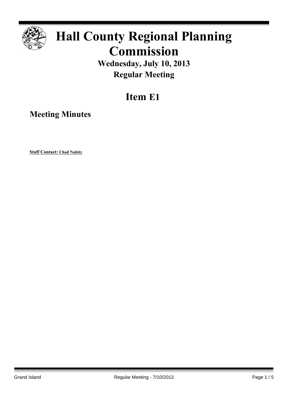

# **Hall County Regional Planning Commission**

**Wednesday, July 10, 2013 Regular Meeting**

# **Item E1**

**Meeting Minutes**

**Staff Contact: Chad Nabity**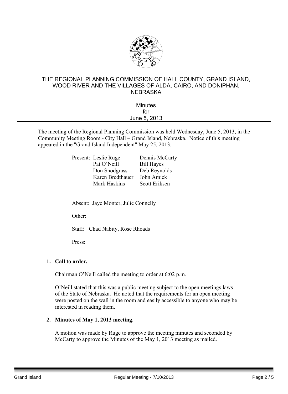

#### THE REGIONAL PLANNING COMMISSION OF HALL COUNTY, GRAND ISLAND, WOOD RIVER AND THE VILLAGES OF ALDA, CAIRO, AND DONIPHAN, NEBRASKA

| <b>Minutes</b> |  |
|----------------|--|
| for            |  |
| June 5, 2013   |  |
|                |  |

The meeting of the Regional Planning Commission was held Wednesday, June 5, 2013, in the Community Meeting Room - City Hall – Grand Island, Nebraska. Notice of this meeting appeared in the "Grand Island Independent" May 25, 2013.

| Present: Leslie Ruge | Dennis McCarty    |
|----------------------|-------------------|
| Pat O'Neill          | <b>Bill Hayes</b> |
| Don Snodgrass        | Deb Reynolds      |
| Karen Bredthauer     | John Amick        |
| Mark Haskins         | Scott Eriksen     |
|                      |                   |

Absent: Jaye Monter, Julie Connelly

Other:

Staff: Chad Nabity, Rose Rhoads

Press:

#### **1. Call to order.**

Chairman O'Neill called the meeting to order at 6:02 p.m.

O'Neill stated that this was a public meeting subject to the open meetings laws of the State of Nebraska. He noted that the requirements for an open meeting were posted on the wall in the room and easily accessible to anyone who may be interested in reading them.

#### **2. Minutes of May 1, 2013 meeting.**

A motion was made by Ruge to approve the meeting minutes and seconded by McCarty to approve the Minutes of the May 1, 2013 meeting as mailed.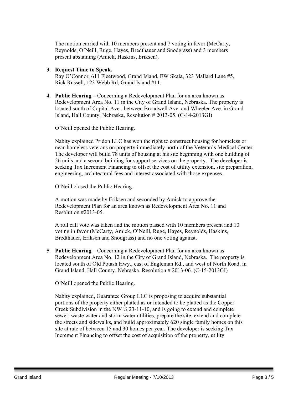The motion carried with 10 members present and 7 voting in favor (McCarty, Reynolds, O'Neill, Ruge, Hayes, Bredthauer and Snodgrass) and 3 members present abstaining (Amick, Haskins, Eriksen).

**3. Request Time to Speak.**

Ray O'Connor, 611 Fleetwood, Grand Island, EW Skala, 323 Mallard Lane #5, Rick Russell, 123 Webb Rd, Grand Island #11.

**4. Public Hearing –** Concerning a Redevelopment Plan for an area known as Redevelopment Area No. 11 in the City of Grand Island, Nebraska. The property is located south of Capital Ave., between Broadwell Ave. and Wheeler Ave. in Grand Island, Hall County, Nebraska, Resolution # 2013-05. (C-14-2013GI)

O'Neill opened the Public Hearing.

Nabity explained Pridon LLC has won the right to construct housing for homeless or near-homeless veterans on property immediately north of the Veteran's Medical Center. The developer will build 78 units of housing at his site beginning with one building of 26 units and a second building for support services on the property. The developer is seeking Tax Increment Financing to offset the cost of utility extension, site preparation, engineering, architectural fees and interest associated with those expenses.

O'Neill closed the Public Hearing.

A motion was made by Eriksen and seconded by Amick to approve the Redevelopment Plan for an area known as Redevelopment Area No. 11 and Resolution #2013-05.

A roll call vote was taken and the motion passed with 10 members present and 10 voting in favor (McCarty, Amick, O'Neill, Ruge, Hayes, Reynolds, Haskins, Bredthauer, Eriksen and Snodgrass) and no one voting against.

**5. Public Hearing –** Concerning a Redevelopment Plan for an area known as Redevelopment Area No. 12 in the City of Grand Island, Nebraska. The property is located south of Old Potash Hwy., east of Engleman Rd., and west of North Road, in Grand Island, Hall County, Nebraska, Resolution # 2013-06. (C-15-2013GI)

O'Neill opened the Public Hearing.

Nabity explained, Guarantee Group LLC is proposing to acquire substantial portions of the property either platted as or intended to be platted as the Copper Creek Subdivision in the NW ¼ 23-11-10, and is going to extend and complete sewer, waste water and storm water utilities, prepare the site, extend and complete the streets and sidewalks, and build approximately 620 single family homes on this site at rate of between 15 and 30 homes per year. The developer is seeking Tax Increment Financing to offset the cost of acquisition of the property, utility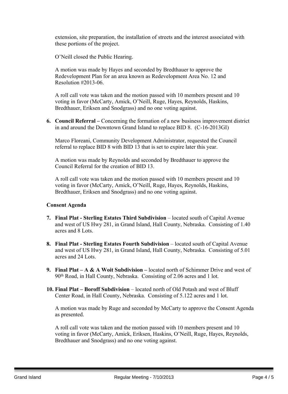extension, site preparation, the installation of streets and the interest associated with these portions of the project.

O'Neill closed the Public Hearing.

A motion was made by Hayes and seconded by Bredthauer to approve the Redevelopment Plan for an area known as Redevelopment Area No. 12 and Resolution #2013-06.

A roll call vote was taken and the motion passed with 10 members present and 10 voting in favor (McCarty, Amick, O'Neill, Ruge, Hayes, Reynolds, Haskins, Bredthauer, Eriksen and Snodgrass) and no one voting against.

**6. Council Referral –** Concerning the formation of a new business improvement district in and around the Downtown Grand Island to replace BID 8. (C-16-2013GI)

Marco Floreani, Community Development Administrator, requested the Council referral to replace BID 8 with BID 13 that is set to expire later this year.

A motion was made by Reynolds and seconded by Bredthauer to approve the Council Referral for the creation of BID 13.

A roll call vote was taken and the motion passed with 10 members present and 10 voting in favor (McCarty, Amick, O'Neill, Ruge, Hayes, Reynolds, Haskins, Bredthauer, Eriksen and Snodgrass) and no one voting against.

#### **Consent Agenda**

- **7. Final Plat - Sterling Estates Third Subdivision** located south of Capital Avenue and west of US Hwy 281, in Grand Island, Hall County, Nebraska. Consisting of 1.40 acres and 8 Lots.
- **8. Final Plat - Sterling Estates Fourth Subdivision** located south of Capital Avenue and west of US Hwy 281, in Grand Island, Hall County, Nebraska. Consisting of 5.01 acres and 24 Lots.
- **9. Final Plat – A & A Woit Subdivision –** located north of Schimmer Drive and west of 90th Road, in Hall County, Nebraska. Consisting of 2.06 acres and 1 lot.
- **10. Final Plat – Boroff Subdivision** located north of Old Potash and west of Bluff Center Road, in Hall County, Nebraska. Consisting of 5.122 acres and 1 lot.

A motion was made by Ruge and seconded by McCarty to approve the Consent Agenda as presented.

A roll call vote was taken and the motion passed with 10 members present and 10 voting in favor (McCarty, Amick, Eriksen, Haskins, O'Neill, Ruge, Hayes, Reynolds, Bredthauer and Snodgrass) and no one voting against.